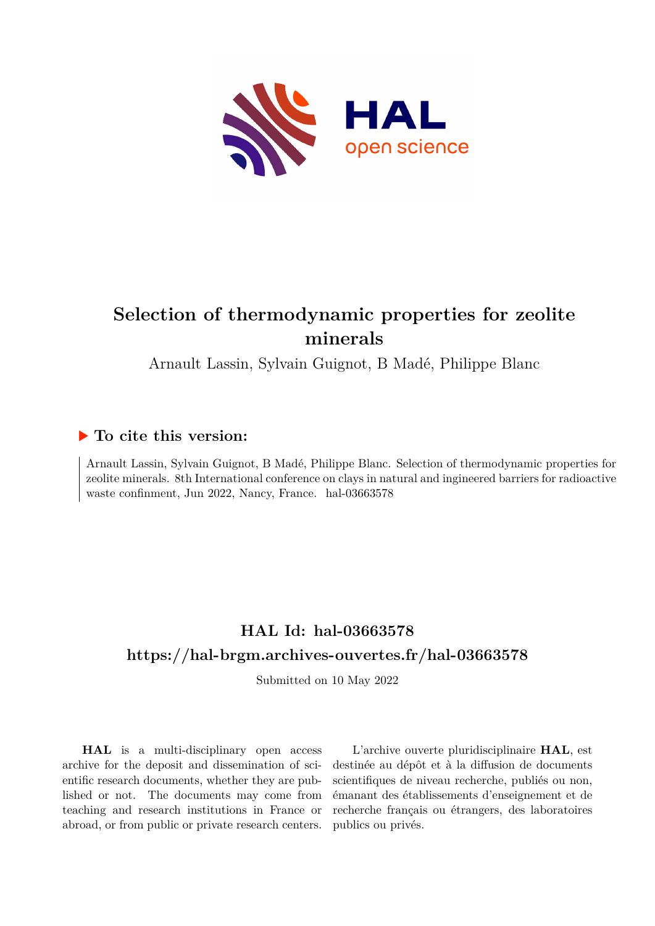

# **Selection of thermodynamic properties for zeolite minerals**

Arnault Lassin, Sylvain Guignot, B Madé, Philippe Blanc

### **To cite this version:**

Arnault Lassin, Sylvain Guignot, B Madé, Philippe Blanc. Selection of thermodynamic properties for zeolite minerals. 8th International conference on clays in natural and ingineered barriers for radioactive waste confinment, Jun 2022, Nancy, France. hal-03663578

## **HAL Id: hal-03663578 <https://hal-brgm.archives-ouvertes.fr/hal-03663578>**

Submitted on 10 May 2022

**HAL** is a multi-disciplinary open access archive for the deposit and dissemination of scientific research documents, whether they are published or not. The documents may come from teaching and research institutions in France or abroad, or from public or private research centers.

L'archive ouverte pluridisciplinaire **HAL**, est destinée au dépôt et à la diffusion de documents scientifiques de niveau recherche, publiés ou non, émanant des établissements d'enseignement et de recherche français ou étrangers, des laboratoires publics ou privés.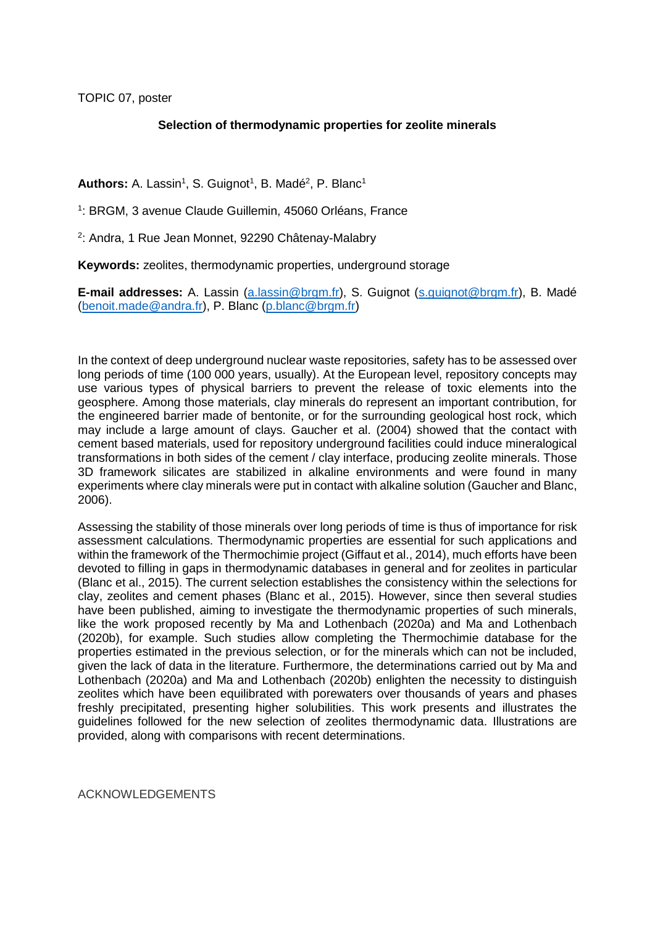TOPIC 07, poster

#### **Selection of thermodynamic properties for zeolite minerals**

### Authors: A. Lassin<sup>1</sup>, S. Guignot<sup>1</sup>, B. Madé<sup>2</sup>, P. Blanc<sup>1</sup>

<sup>1</sup>: BRGM, 3 avenue Claude Guillemin, 45060 Orléans, France

<sup>2</sup>: Andra, 1 Rue Jean Monnet, 92290 Châtenay-Malabry

**Keywords:** zeolites, thermodynamic properties, underground storage

**E-mail addresses:** A. Lassin [\(a.lassin@brgm.fr\)](mailto:a.lassin@brgm.fr), S. Guignot [\(s.guignot@brgm.fr\)](mailto:s.guignot@brgm.fr), B. Madé [\(benoit.made@andra.fr\)](mailto:benoit.made@andra.fr), P. Blanc [\(p.blanc@brgm.fr\)](mailto:p.blanc@brgm.fr)

In the context of deep underground nuclear waste repositories, safety has to be assessed over long periods of time (100 000 years, usually). At the European level, repository concepts may use various types of physical barriers to prevent the release of toxic elements into the geosphere. Among those materials, clay minerals do represent an important contribution, for the engineered barrier made of bentonite, or for the surrounding geological host rock, which may include a large amount of clays. Gaucher et al. (2004) showed that the contact with cement based materials, used for repository underground facilities could induce mineralogical transformations in both sides of the cement / clay interface, producing zeolite minerals. Those 3D framework silicates are stabilized in alkaline environments and were found in many experiments where clay minerals were put in contact with alkaline solution [\(Gaucher and Blanc,](#page-2-0)  [2006\)](#page-2-0).

Assessing the stability of those minerals over long periods of time is thus of importance for risk assessment calculations. Thermodynamic properties are essential for such applications and within the framework of the Thermochimie project [\(Giffaut et al., 2014\)](#page-2-1), much efforts have been devoted to filling in gaps in thermodynamic databases in general and for zeolites in particular [\(Blanc et al., 2015\)](#page-2-2). The current selection establishes the consistency within the selections for clay, zeolites and cement phases [\(Blanc et al., 2015\)](#page-2-2). However, since then several studies have been published, aiming to investigate the thermodynamic properties of such minerals, like the work proposed recently by [Ma and Lothenbach \(2020a\)](#page-2-3) and [Ma and Lothenbach](#page-2-4)  (2020b), for example. Such studies allow completing the Thermochimie database for the properties estimated in the previous selection, or for the minerals which can not be included, given the lack of data in the literature. Furthermore, the determinations carried out by [Ma and](#page-2-3)  Lothenbach (2020a) and [Ma and Lothenbach \(2020b\)](#page-2-4) enlighten the necessity to distinguish zeolites which have been equilibrated with porewaters over thousands of years and phases freshly precipitated, presenting higher solubilities. This work presents and illustrates the guidelines followed for the new selection of zeolites thermodynamic data. Illustrations are provided, along with comparisons with recent determinations.

ACKNOWLEDGEMENTS